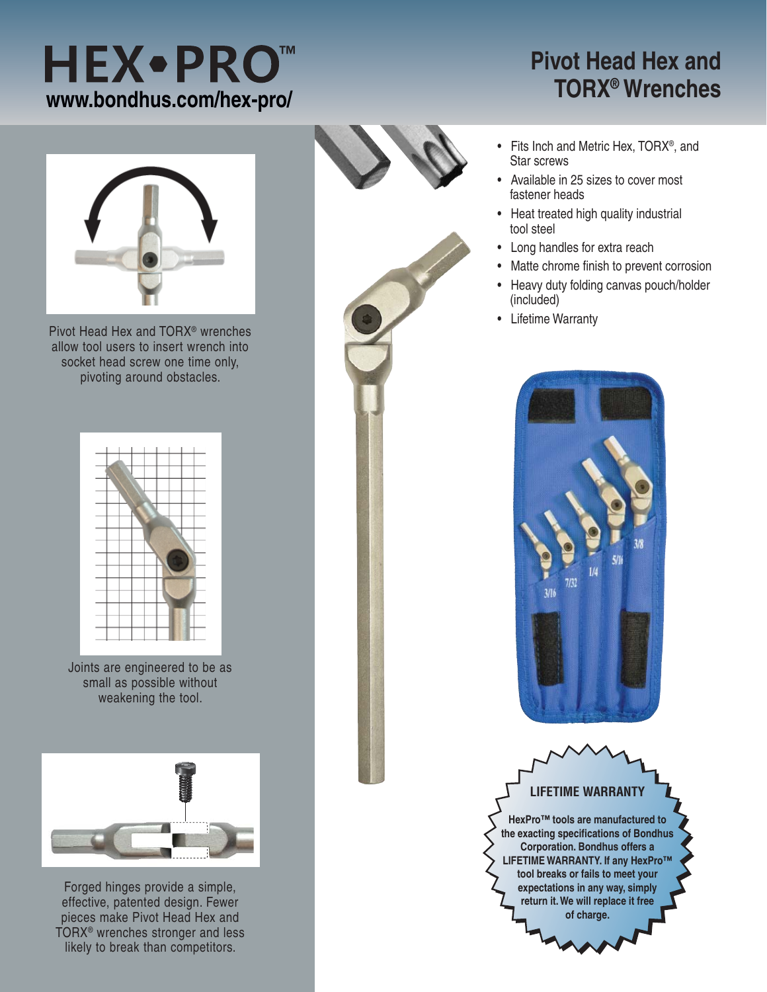## **HEX•PRO™ www.bondhus.com/hex-pro/**

## **Pivot Head Hex and TORX® Wrenches**



Pivot Head Hex and TORX® wrenches allow tool users to insert wrench into socket head screw one time only, pivoting around obstacles.



Joints are engineered to be as small as possible without weakening the tool.



Forged hinges provide a simple, effective, patented design. Fewer pieces make Pivot Head Hex and TORX® wrenches stronger and less likely to break than competitors.



- Fits Inch and Metric Hex, TORX®, and Star screws
- Available in 25 sizes to cover most fastener heads
- Heat treated high quality industrial tool steel
- Long handles for extra reach
- Matte chrome finish to prevent corrosion
- Heavy duty folding canvas pouch/holder (included)
- Lifetime Warranty